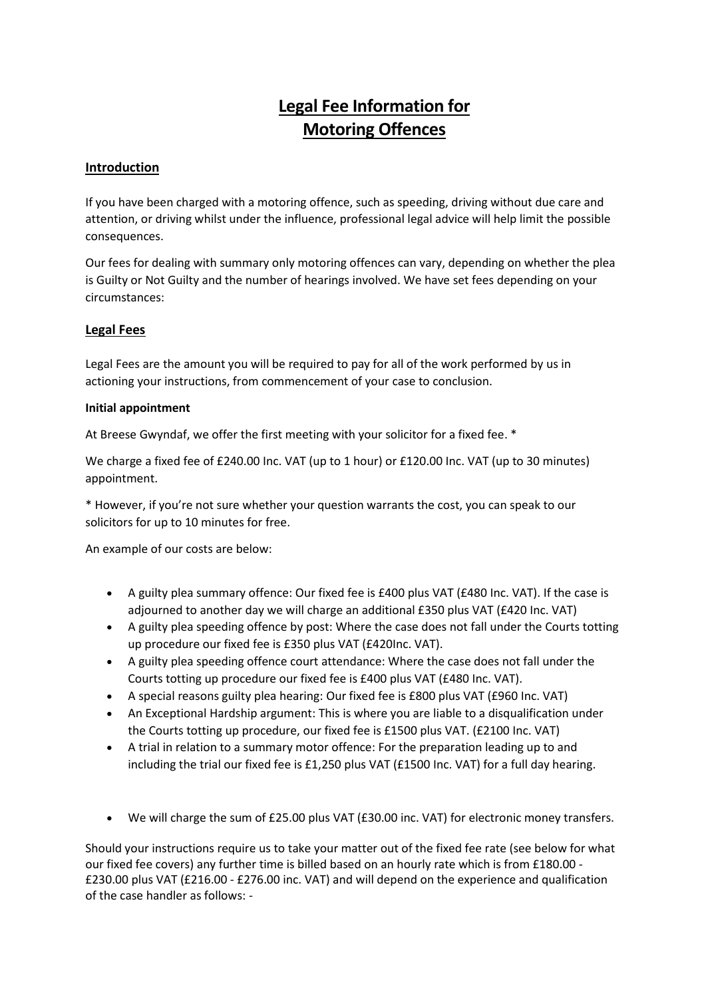# **Legal Fee Information for Motoring Offences**

## **Introduction**

If you have been charged with a motoring offence, such as speeding, driving without due care and attention, or driving whilst under the influence, professional legal advice will help limit the possible consequences.

Our fees for dealing with summary only motoring offences can vary, depending on whether the plea is Guilty or Not Guilty and the number of hearings involved. We have set fees depending on your circumstances:

### **Legal Fees**

Legal Fees are the amount you will be required to pay for all of the work performed by us in actioning your instructions, from commencement of your case to conclusion.

#### **Initial appointment**

At Breese Gwyndaf, we offer the first meeting with your solicitor for a fixed fee. \*

We charge a fixed fee of £240.00 Inc. VAT (up to 1 hour) or £120.00 Inc. VAT (up to 30 minutes) appointment.

\* However, if you're not sure whether your question warrants the cost, you can speak to our solicitors for up to 10 minutes for free.

An example of our costs are below:

- A guilty plea summary offence: Our fixed fee is £400 plus VAT (£480 Inc. VAT). If the case is adjourned to another day we will charge an additional £350 plus VAT (£420 Inc. VAT)
- A guilty plea speeding offence by post: Where the case does not fall under the Courts totting up procedure our fixed fee is £350 plus VAT (£420Inc. VAT).
- A guilty plea speeding offence court attendance: Where the case does not fall under the Courts totting up procedure our fixed fee is £400 plus VAT (£480 Inc. VAT).
- A special reasons guilty plea hearing: Our fixed fee is £800 plus VAT (£960 Inc. VAT)
- An Exceptional Hardship argument: This is where you are liable to a disqualification under the Courts totting up procedure, our fixed fee is £1500 plus VAT. (£2100 Inc. VAT)
- A trial in relation to a summary motor offence: For the preparation leading up to and including the trial our fixed fee is £1,250 plus VAT (£1500 Inc. VAT) for a full day hearing.
- We will charge the sum of £25.00 plus VAT (£30.00 inc. VAT) for electronic money transfers.

Should your instructions require us to take your matter out of the fixed fee rate (see below for what our fixed fee covers) any further time is billed based on an hourly rate which is from £180.00 - £230.00 plus VAT (£216.00 - £276.00 inc. VAT) and will depend on the experience and qualification of the case handler as follows: -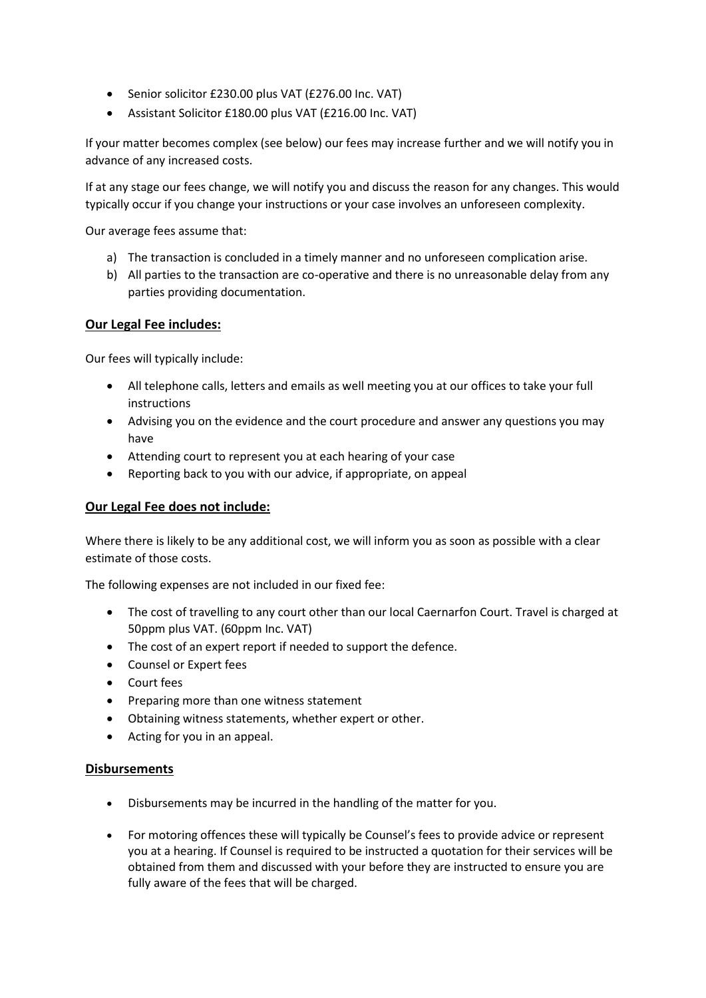- Senior solicitor £230.00 plus VAT (£276.00 Inc. VAT)
- Assistant Solicitor £180.00 plus VAT (£216.00 Inc. VAT)

If your matter becomes complex (see below) our fees may increase further and we will notify you in advance of any increased costs.

If at any stage our fees change, we will notify you and discuss the reason for any changes. This would typically occur if you change your instructions or your case involves an unforeseen complexity.

Our average fees assume that:

- a) The transaction is concluded in a timely manner and no unforeseen complication arise.
- b) All parties to the transaction are co-operative and there is no unreasonable delay from any parties providing documentation.

## **Our Legal Fee includes:**

Our fees will typically include:

- All telephone calls, letters and emails as well meeting you at our offices to take your full instructions
- Advising you on the evidence and the court procedure and answer any questions you may have
- Attending court to represent you at each hearing of your case
- Reporting back to you with our advice, if appropriate, on appeal

## **Our Legal Fee does not include:**

Where there is likely to be any additional cost, we will inform you as soon as possible with a clear estimate of those costs.

The following expenses are not included in our fixed fee:

- The cost of travelling to any court other than our local Caernarfon Court. Travel is charged at 50ppm plus VAT. (60ppm Inc. VAT)
- The cost of an expert report if needed to support the defence.
- Counsel or Expert fees
- Court fees
- Preparing more than one witness statement
- Obtaining witness statements, whether expert or other.
- Acting for you in an appeal.

#### **Disbursements**

- Disbursements may be incurred in the handling of the matter for you.
- For motoring offences these will typically be Counsel's fees to provide advice or represent you at a hearing. If Counsel is required to be instructed a quotation for their services will be obtained from them and discussed with your before they are instructed to ensure you are fully aware of the fees that will be charged.